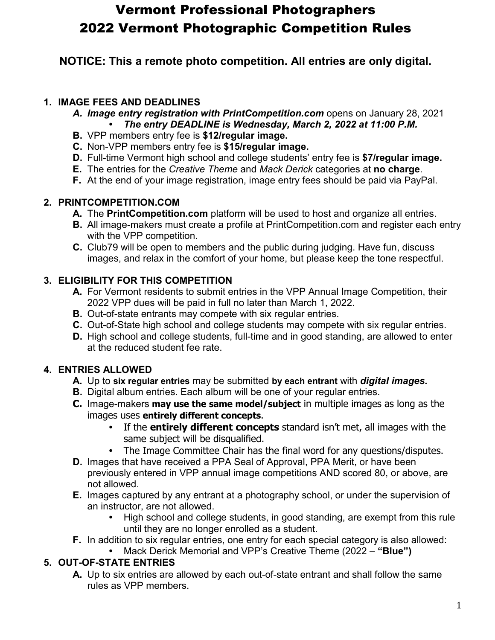# Vermont Professional Photographers 2022 Vermont Photographic Competition Rules

**NOTICE: This a remote photo competition. All entries are only digital.**

## **1. IMAGE FEES AND DEADLINES**

- A. Image entry registration with PrintCompetition.com opens on January 28, 2021 **•** *The entry DEADLINE is Wednesday, March 2, 2022 at 11:00 P.M.*
- **B.** VPP members entry fee is **\$12/regular image.**
- **C.** Non-VPP members entry fee is **\$15/regular image.**
- **D.** Full-time Vermont high school and college students' entry fee is **\$7/regular image.**
- **E.** The entries for the *Creative Theme* and *Mack Derick* categories at **no charge**.
- **F.** At the end of your image registration, image entry fees should be paid via PayPal.

## **2. PRINTCOMPETITION.COM**

- **A.** The **PrintCompetition.com** platform will be used to host and organize all entries.
- **B.** All image-makers must create a profile at PrintCompetition.com and register each entry with the VPP competition.
- **C.** Club79 will be open to members and the public during judging. Have fun, discuss images, and relax in the comfort of your home, but please keep the tone respectful.

# **3. ELIGIBILITY FOR THIS COMPETITION**

- **A.** For Vermont residents to submit entries in the VPP Annual Image Competition, their 2022 VPP dues will be paid in full no later than March 1, 2022.
- **B.** Out-of-state entrants may compete with six regular entries.
- **C.** Out-of-State high school and college students may compete with six regular entries.
- **D.** High school and college students, full-time and in good standing, are allowed to enter at the reduced student fee rate.

# **4. ENTRIES ALLOWED**

- **A.** Up to **six regular entries** may be submitted **by each entrant** with *digital images.*
- **B.** Digital album entries. Each album will be one of your regular entries.
- **C.** Image-makers **may use the same model/subject** in multiple images as long as the images uses **entirely different concepts**.
	- **•** If the **entirely different concepts** standard isn't met, all images with the same subject will be disqualified.
	- **•** The Image Committee Chair has the final word for any questions/disputes.
- **D.** Images that have received a PPA Seal of Approval, PPA Merit, or have been previously entered in VPP annual image competitions AND scored 80, or above, are not allowed.
- **E.** Images captured by any entrant at a photography school, or under the supervision of an instructor, are not allowed.
	- **•** High school and college students, in good standing, are exempt from this rule until they are no longer enrolled as a student.
- **F.** In addition to six regular entries, one entry for each special category is also allowed:
	- **•** Mack Derick Memorial and VPP's Creative Theme (2022 **"Blue")**

## **5. OUT-OF-STATE ENTRIES**

**A.** Up to six entries are allowed by each out-of-state entrant and shall follow the same rules as VPP members.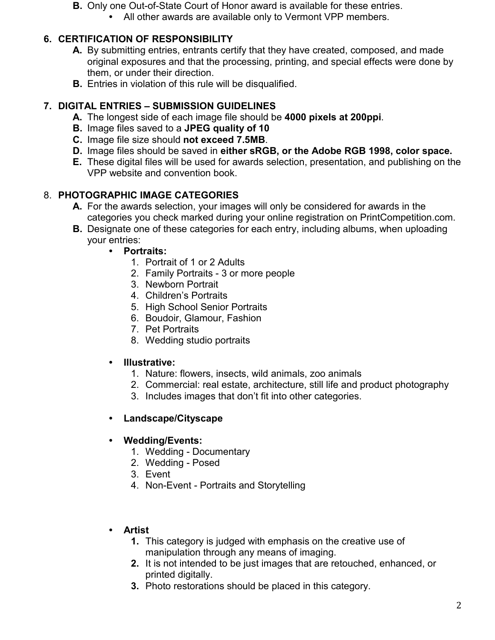- **B.** Only one Out-of-State Court of Honor award is available for these entries.
	- **•** All other awards are available only to Vermont VPP members.

# **6. CERTIFICATION OF RESPONSIBILITY**

- **A.** By submitting entries, entrants certify that they have created, composed, and made original exposures and that the processing, printing, and special effects were done by them, or under their direction.
- **B.** Entries in violation of this rule will be disqualified.

## **7. DIGITAL ENTRIES – SUBMISSION GUIDELINES**

- **A.** The longest side of each image file should be **4000 pixels at 200ppi**.
- **B.** Image files saved to a **JPEG quality of 10**
- **C.** Image file size should **not exceed 7.5MB**.
- **D.** Image files should be saved in **either sRGB, or the Adobe RGB 1998, color space.**
- **E.** These digital files will be used for awards selection, presentation, and publishing on the VPP website and convention book.

# 8. **PHOTOGRAPHIC IMAGE CATEGORIES**

- **A.** For the awards selection, your images will only be considered for awards in the categories you check marked during your online registration on PrintCompetition.com.
- **B.** Designate one of these categories for each entry, including albums, when uploading your entries:
	- **• Portraits:**
		- 1. Portrait of 1 or 2 Adults
		- 2. Family Portraits 3 or more people
		- 3. Newborn Portrait
		- 4. Children's Portraits
		- 5. High School Senior Portraits
		- 6. Boudoir, Glamour, Fashion
		- 7. Pet Portraits
		- 8. Wedding studio portraits

#### **• Illustrative:**

- 1. Nature: flowers, insects, wild animals, zoo animals
- 2. Commercial: real estate, architecture, still life and product photography
- 3. Includes images that don't fit into other categories.

## **• Landscape/Cityscape**

#### **• Wedding/Events:**

- 1. Wedding Documentary
- 2. Wedding Posed
- 3. Event
- 4. Non-Event Portraits and Storytelling

## **• Artist**

- **1.** This category is judged with emphasis on the creative use of manipulation through any means of imaging.
- **2.** It is not intended to be just images that are retouched, enhanced, or printed digitally.
- **3.** Photo restorations should be placed in this category.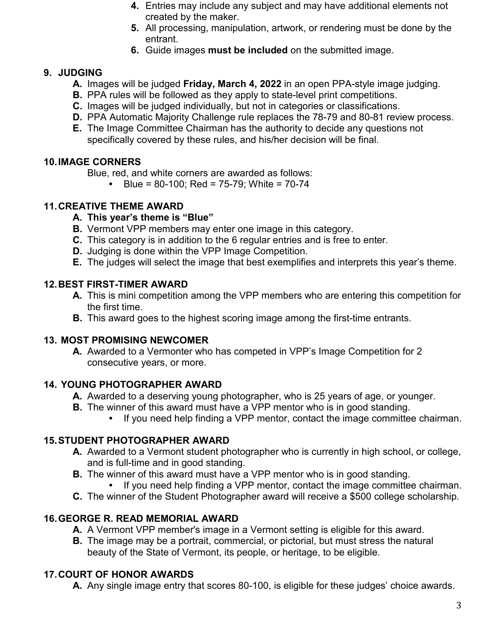- **4.** Entries may include any subject and may have additional elements not created by the maker.
- **5.** All processing, manipulation, artwork, or rendering must be done by the entrant.
- **6.** Guide images **must be included** on the submitted image.

## **9. JUDGING**

- **A.** Images will be judged **Friday, March 4, 2022** in an open PPA-style image judging.
- **B.** PPA rules will be followed as they apply to state-level print competitions.
- **C.** Images will be judged individually, but not in categories or classifications.
- **D.** PPA Automatic Majority Challenge rule replaces the 78-79 and 80-81 review process.
- **E.** The Image Committee Chairman has the authority to decide any questions not specifically covered by these rules, and his/her decision will be final.

#### **10.IMAGE CORNERS**

Blue, red, and white corners are awarded as follows:

**•** Blue = 80-100; Red = 75-79; White = 70-74

#### **11.CREATIVE THEME AWARD**

- **A. This year's theme is "Blue"**
- **B.** Vermont VPP members may enter one image in this category.
- **C.** This category is in addition to the 6 regular entries and is free to enter.
- **D.** Judging is done within the VPP Image Competition.
- **E.** The judges will select the image that best exemplifies and interprets this year's theme.

#### **12.BEST FIRST-TIMER AWARD**

- **A.** This is mini competition among the VPP members who are entering this competition for the first time.
- **B.** This award goes to the highest scoring image among the first-time entrants.

#### **13. MOST PROMISING NEWCOMER**

**A.** Awarded to a Vermonter who has competed in VPP's Image Competition for 2 consecutive years, or more.

#### **14. YOUNG PHOTOGRAPHER AWARD**

- **A.** Awarded to a deserving young photographer, who is 25 years of age, or younger.
- **B.** The winner of this award must have a VPP mentor who is in good standing.
	- **•** If you need help finding a VPP mentor, contact the image committee chairman.

#### **15.STUDENT PHOTOGRAPHER AWARD**

- **A.** Awarded to a Vermont student photographer who is currently in high school, or college, and is full-time and in good standing.
- **B.** The winner of this award must have a VPP mentor who is in good standing.
	- **•** If you need help finding a VPP mentor, contact the image committee chairman.
- **C.** The winner of the Student Photographer award will receive a \$500 college scholarship.

#### **16.GEORGE R. READ MEMORIAL AWARD**

- **A.** A Vermont VPP member's image in a Vermont setting is eligible for this award.
- **B.** The image may be a portrait, commercial, or pictorial, but must stress the natural beauty of the State of Vermont, its people, or heritage, to be eligible.

#### **17.COURT OF HONOR AWARDS**

**A.** Any single image entry that scores 80-100, is eligible for these judges' choice awards.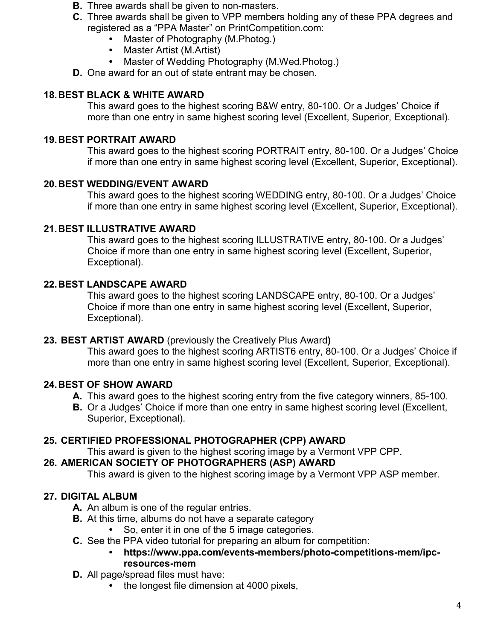- **B.** Three awards shall be given to non-masters.
- **C.** Three awards shall be given to VPP members holding any of these PPA degrees and registered as a "PPA Master" on PrintCompetition.com:
	- **•** Master of Photography (M.Photog.)
	- **•** Master Artist (M.Artist)
	- **•** Master of Wedding Photography (M.Wed.Photog.)
- **D.** One award for an out of state entrant may be chosen.

## **18.BEST BLACK & WHITE AWARD**

This award goes to the highest scoring B&W entry, 80-100. Or a Judges' Choice if more than one entry in same highest scoring level (Excellent, Superior, Exceptional).

## **19.BEST PORTRAIT AWARD**

This award goes to the highest scoring PORTRAIT entry, 80-100. Or a Judges' Choice if more than one entry in same highest scoring level (Excellent, Superior, Exceptional).

## **20.BEST WEDDING/EVENT AWARD**

This award goes to the highest scoring WEDDING entry, 80-100. Or a Judges' Choice if more than one entry in same highest scoring level (Excellent, Superior, Exceptional).

#### **21.BEST ILLUSTRATIVE AWARD**

This award goes to the highest scoring ILLUSTRATIVE entry, 80-100. Or a Judges' Choice if more than one entry in same highest scoring level (Excellent, Superior, Exceptional).

#### **22.BEST LANDSCAPE AWARD**

This award goes to the highest scoring LANDSCAPE entry, 80-100. Or a Judges' Choice if more than one entry in same highest scoring level (Excellent, Superior, Exceptional).

#### **23. BEST ARTIST AWARD** (previously the Creatively Plus Award**)**

This award goes to the highest scoring ARTIST6 entry, 80-100. Or a Judges' Choice if more than one entry in same highest scoring level (Excellent, Superior, Exceptional).

#### **24.BEST OF SHOW AWARD**

- **A.** This award goes to the highest scoring entry from the five category winners, 85-100.
- **B.** Or a Judges' Choice if more than one entry in same highest scoring level (Excellent, Superior, Exceptional).

#### **25. CERTIFIED PROFESSIONAL PHOTOGRAPHER (CPP) AWARD**

This award is given to the highest scoring image by a Vermont VPP CPP.

#### **26. AMERICAN SOCIETY OF PHOTOGRAPHERS (ASP) AWARD**

This award is given to the highest scoring image by a Vermont VPP ASP member.

## **27. DIGITAL ALBUM**

- **A.** An album is one of the regular entries.
- **B.** At this time, albums do not have a separate category
	- **•** So, enter it in one of the 5 image categories.
- **C.** See the PPA video tutorial for preparing an album for competition:
	- **• https://www.ppa.com/events-members/photo-competitions-mem/ipcresources-mem**
- **D.** All page/spread files must have:
	- **•** the longest file dimension at 4000 pixels,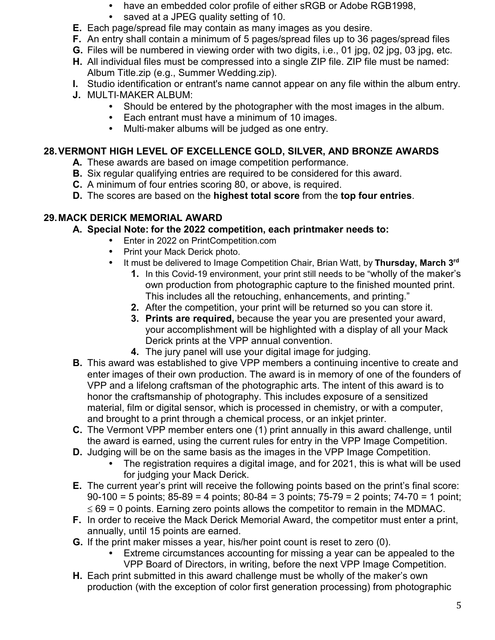- **•** have an embedded color profile of either sRGB or Adobe RGB1998,
- **•** saved at a JPEG quality setting of 10.
- **E.** Each page/spread file may contain as many images as you desire.
- **F.** An entry shall contain a minimum of 5 pages/spread files up to 36 pages/spread files
- **G.** Files will be numbered in viewing order with two digits, i.e., 01 jpg, 02 jpg, 03 jpg, etc.
- **H.** All individual files must be compressed into a single ZIP file. ZIP file must be named: Album Title.zip (e.g., Summer Wedding.zip).
- **I.** Studio identification or entrant's name cannot appear on any file within the album entry.
- **J.** MULTI-MAKER ALBUM:<br>Should be entere
	- **•** Should be entered by the photographer with the most images in the album.
	- **•** Each entrant must have a minimum of 10 images.
	- **•** Multi‐maker albums will be judged as one entry.

## **28.VERMONT HIGH LEVEL OF EXCELLENCE GOLD, SILVER, AND BRONZE AWARDS**

- **A.** These awards are based on image competition performance.
- **B.** Six regular qualifying entries are required to be considered for this award.
- **C.** A minimum of four entries scoring 80, or above, is required.
- **D.** The scores are based on the **highest total score** from the **top four entries**.

# **29.MACK DERICK MEMORIAL AWARD**

- **A. Special Note: for the 2022 competition, each printmaker needs to:**
	- **•** Enter in 2022 on PrintCompetition.com
	- **•** Print your Mack Derick photo.
		- **•** It must be delivered to Image Competition Chair, Brian Watt, by **Thursday, March 3rd**
			- **1.** In this Covid-19 environment, your print still needs to be "wholly of the maker's own production from photographic capture to the finished mounted print. This includes all the retouching, enhancements, and printing."
			- **2.** After the competition, your print will be returned so you can store it.
			- **3. Prints are required,** because the year you are presented your award, your accomplishment will be highlighted with a display of all your Mack Derick prints at the VPP annual convention.
			- **4.** The jury panel will use your digital image for judging.
- **B.** This award was established to give VPP members a continuing incentive to create and enter images of their own production. The award is in memory of one of the founders of VPP and a lifelong craftsman of the photographic arts. The intent of this award is to honor the craftsmanship of photography. This includes exposure of a sensitized material, film or digital sensor, which is processed in chemistry, or with a computer, and brought to a print through a chemical process, or an inkjet printer.
- **C.** The Vermont VPP member enters one (1) print annually in this award challenge, until the award is earned, using the current rules for entry in the VPP Image Competition.
- **D.** Judging will be on the same basis as the images in the VPP Image Competition.
	- **•** The registration requires a digital image, and for 2021, this is what will be used for judging your Mack Derick.
- **E.** The current year's print will receive the following points based on the print's final score: 90-100 = 5 points; 85-89 = 4 points; 80-84 = 3 points; 75-79 = 2 points; 74-70 = 1 point;  $\leq$  69 = 0 points. Earning zero points allows the competitor to remain in the MDMAC.
- **F.** In order to receive the Mack Derick Memorial Award, the competitor must enter a print, annually, until 15 points are earned.
- **G.** If the print maker misses a year, his/her point count is reset to zero (0).
	- **•** Extreme circumstances accounting for missing a year can be appealed to the VPP Board of Directors, in writing, before the next VPP Image Competition.
- **H.** Each print submitted in this award challenge must be wholly of the maker's own production (with the exception of color first generation processing) from photographic